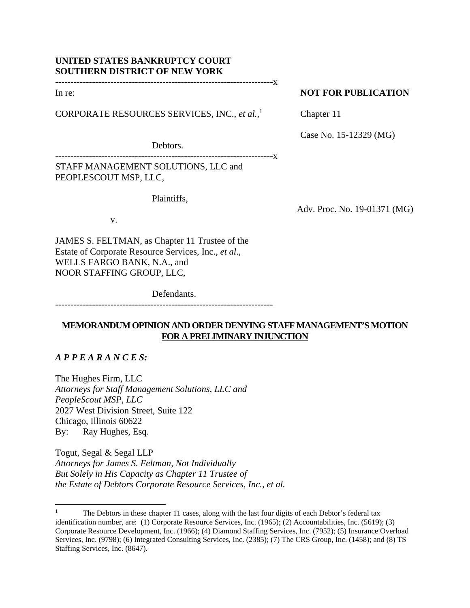## **UNITED STATES BANKRUPTCY COURT SOUTHERN DISTRICT OF NEW YORK**

-----------------------------------------------------------------------x

In re:

CORPORATE RESOURCES SERVICES, INC., *et al.*, 1

## **NOT FOR PUBLICATION**

Chapter 11

Case No. 15-12329 (MG)

Debtors.

--------------X STAFF MANAGEMENT SOLUTIONS, LLC and PEOPLESCOUT MSP, LLC,

Plaintiffs,

Adv. Proc. No. 19-01371 (MG)

v.

JAMES S. FELTMAN, as Chapter 11 Trustee of the Estate of Corporate Resource Services, Inc., *et al*., WELLS FARGO BANK, N.A., and NOOR STAFFING GROUP, LLC,

Defendants.

-----------------------------------------------------------------------

# **MEMORANDUM OPINION AND ORDER DENYING STAFF MANAGEMENT'S MOTION FOR A PRELIMINARY INJUNCTION**

# *A P P E A R A N C E S:*

The Hughes Firm, LLC *Attorneys for Staff Management Solutions, LLC and PeopleScout MSP, LLC*  2027 West Division Street, Suite 122 Chicago, Illinois 60622 By: Ray Hughes, Esq.

Togut, Segal & Segal LLP *Attorneys for James S. Feltman, Not Individually But Solely in His Capacity as Chapter 11 Trustee of the Estate of Debtors Corporate Resource Services, Inc., et al.* 

<sup>1</sup> The Debtors in these chapter 11 cases, along with the last four digits of each Debtor's federal tax identification number, are: (1) Corporate Resource Services, Inc. (1965); (2) Accountabilities, Inc. (5619); (3) Corporate Resource Development, Inc. (1966); (4) Diamond Staffing Services, Inc. (7952); (5) Insurance Overload Services, Inc. (9798); (6) Integrated Consulting Services, Inc. (2385); (7) The CRS Group, Inc. (1458); and (8) TS Staffing Services, Inc. (8647).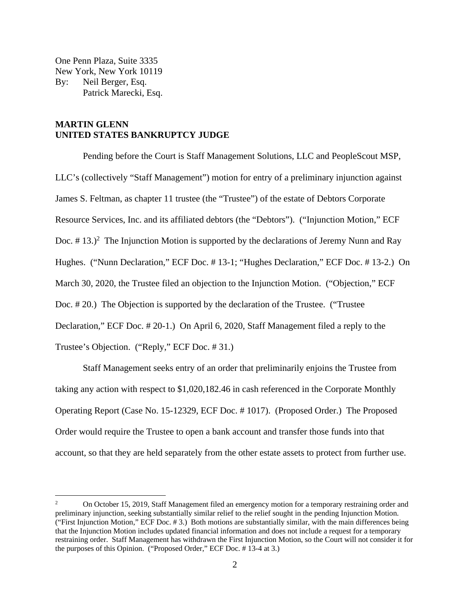One Penn Plaza, Suite 3335 New York, New York 10119 By: Neil Berger, Esq. Patrick Marecki, Esq.

## **MARTIN GLENN UNITED STATES BANKRUPTCY JUDGE**

Pending before the Court is Staff Management Solutions, LLC and PeopleScout MSP, LLC's (collectively "Staff Management") motion for entry of a preliminary injunction against James S. Feltman, as chapter 11 trustee (the "Trustee") of the estate of Debtors Corporate Resource Services, Inc. and its affiliated debtors (the "Debtors"). ("Injunction Motion," ECF Doc.  $\#$  13.)<sup>2</sup> The Injunction Motion is supported by the declarations of Jeremy Nunn and Ray Hughes. ("Nunn Declaration," ECF Doc. # 13-1; "Hughes Declaration," ECF Doc. # 13-2.) On March 30, 2020, the Trustee filed an objection to the Injunction Motion. ("Objection," ECF Doc. # 20.) The Objection is supported by the declaration of the Trustee. ("Trustee Declaration," ECF Doc. # 20-1.) On April 6, 2020, Staff Management filed a reply to the Trustee's Objection. ("Reply," ECF Doc. # 31.)

 Staff Management seeks entry of an order that preliminarily enjoins the Trustee from taking any action with respect to \$1,020,182.46 in cash referenced in the Corporate Monthly Operating Report (Case No. 15-12329, ECF Doc. # 1017). (Proposed Order.) The Proposed Order would require the Trustee to open a bank account and transfer those funds into that account, so that they are held separately from the other estate assets to protect from further use.

<sup>2</sup> On October 15, 2019, Staff Management filed an emergency motion for a temporary restraining order and preliminary injunction, seeking substantially similar relief to the relief sought in the pending Injunction Motion. ("First Injunction Motion," ECF Doc. # 3.) Both motions are substantially similar, with the main differences being that the Injunction Motion includes updated financial information and does not include a request for a temporary restraining order. Staff Management has withdrawn the First Injunction Motion, so the Court will not consider it for the purposes of this Opinion. ("Proposed Order," ECF Doc. # 13-4 at 3.)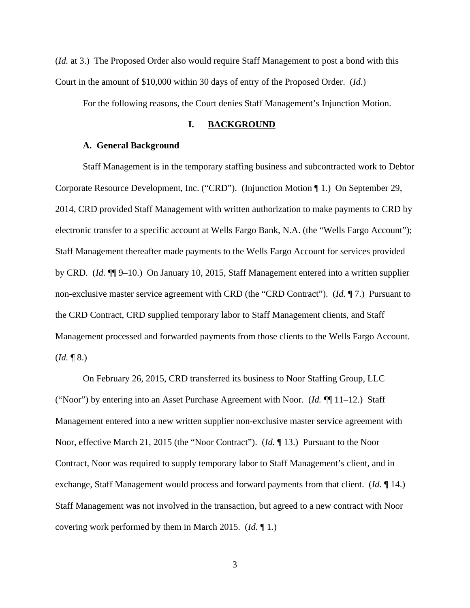(*Id.* at 3.) The Proposed Order also would require Staff Management to post a bond with this Court in the amount of \$10,000 within 30 days of entry of the Proposed Order. (*Id.*)

For the following reasons, the Court denies Staff Management's Injunction Motion.

### **I. BACKGROUND**

#### **A. General Background**

Staff Management is in the temporary staffing business and subcontracted work to Debtor Corporate Resource Development, Inc. ("CRD"). (Injunction Motion ¶ 1.) On September 29, 2014, CRD provided Staff Management with written authorization to make payments to CRD by electronic transfer to a specific account at Wells Fargo Bank, N.A. (the "Wells Fargo Account"); Staff Management thereafter made payments to the Wells Fargo Account for services provided by CRD. (*Id.* ¶¶ 9–10.) On January 10, 2015, Staff Management entered into a written supplier non-exclusive master service agreement with CRD (the "CRD Contract"). (*Id.* ¶ 7.) Pursuant to the CRD Contract, CRD supplied temporary labor to Staff Management clients, and Staff Management processed and forwarded payments from those clients to the Wells Fargo Account.  $$ 

 On February 26, 2015, CRD transferred its business to Noor Staffing Group, LLC ("Noor") by entering into an Asset Purchase Agreement with Noor. (*Id.* ¶¶ 11–12.) Staff Management entered into a new written supplier non-exclusive master service agreement with Noor, effective March 21, 2015 (the "Noor Contract"). (*Id.* ¶ 13.) Pursuant to the Noor Contract, Noor was required to supply temporary labor to Staff Management's client, and in exchange, Staff Management would process and forward payments from that client. (*Id.* ¶ 14.) Staff Management was not involved in the transaction, but agreed to a new contract with Noor covering work performed by them in March 2015. (*Id.* ¶ 1*.*)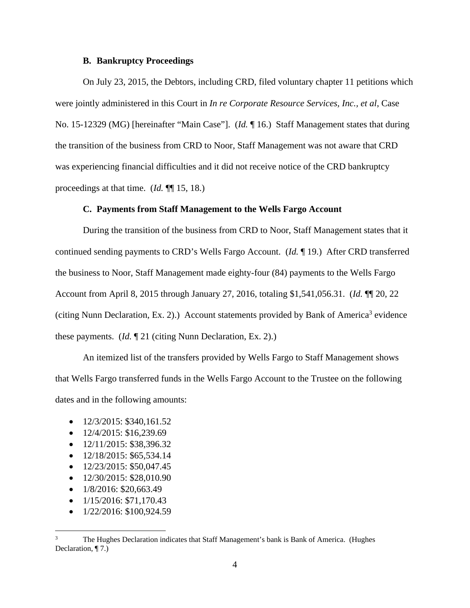### **B. Bankruptcy Proceedings**

 On July 23, 2015, the Debtors, including CRD, filed voluntary chapter 11 petitions which were jointly administered in this Court in *In re Corporate Resource Services, Inc., et al*, Case No. 15-12329 (MG) [hereinafter "Main Case"]. (*Id.* ¶ 16.) Staff Management states that during the transition of the business from CRD to Noor, Staff Management was not aware that CRD was experiencing financial difficulties and it did not receive notice of the CRD bankruptcy proceedings at that time. (*Id.* ¶¶ 15, 18.)

### **C. Payments from Staff Management to the Wells Fargo Account**

During the transition of the business from CRD to Noor, Staff Management states that it continued sending payments to CRD's Wells Fargo Account. (*Id.* ¶ 19.) After CRD transferred the business to Noor, Staff Management made eighty-four (84) payments to the Wells Fargo Account from April 8, 2015 through January 27, 2016, totaling \$1,541,056.31. (*Id.* ¶¶ 20, 22 (citing Nunn Declaration, Ex. 2).) Account statements provided by Bank of America<sup>3</sup> evidence these payments. (*Id.* ¶ 21 (citing Nunn Declaration, Ex. 2).)

An itemized list of the transfers provided by Wells Fargo to Staff Management shows that Wells Fargo transferred funds in the Wells Fargo Account to the Trustee on the following dates and in the following amounts:

- $\bullet$  12/3/2015: \$340,161.52
- $\bullet$  12/4/2015: \$16,239.69
- $\bullet$  12/11/2015: \$38,396.32
- $\bullet$  12/18/2015: \$65,534.14
- $\bullet$  12/23/2015: \$50,047.45
- $\bullet$  12/30/2015: \$28,010.90
- $\bullet$  1/8/2016: \$20,663.49
- $\bullet$  1/15/2016: \$71,170.43
- $\bullet$  1/22/2016: \$100,924.59

<sup>3</sup> The Hughes Declaration indicates that Staff Management's bank is Bank of America. (Hughes Declaration, ¶ 7.)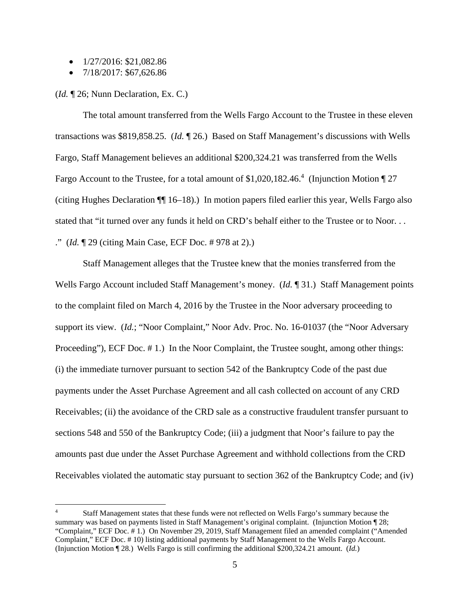- $\bullet$  1/27/2016: \$21,082.86
- $\bullet$  7/18/2017: \$67,626.86

(*Id.* ¶ 26; Nunn Declaration, Ex. C.)

The total amount transferred from the Wells Fargo Account to the Trustee in these eleven transactions was \$819,858.25. (*Id.* ¶ 26.) Based on Staff Management's discussions with Wells Fargo, Staff Management believes an additional \$200,324.21 was transferred from the Wells Fargo Account to the Trustee, for a total amount of \$1,020,182.46.<sup>4</sup> (Injunction Motion  $\P$  27 (citing Hughes Declaration ¶¶ 16–18).) In motion papers filed earlier this year, Wells Fargo also stated that "it turned over any funds it held on CRD's behalf either to the Trustee or to Noor. . . ." (*Id.* ¶ 29 (citing Main Case, ECF Doc. # 978 at 2).)

Staff Management alleges that the Trustee knew that the monies transferred from the Wells Fargo Account included Staff Management's money. (*Id.* ¶ 31.) Staff Management points to the complaint filed on March 4, 2016 by the Trustee in the Noor adversary proceeding to support its view. (*Id.*; "Noor Complaint," Noor Adv. Proc. No. 16-01037 (the "Noor Adversary Proceeding"), ECF Doc. #1.) In the Noor Complaint, the Trustee sought, among other things: (i) the immediate turnover pursuant to section 542 of the Bankruptcy Code of the past due payments under the Asset Purchase Agreement and all cash collected on account of any CRD Receivables; (ii) the avoidance of the CRD sale as a constructive fraudulent transfer pursuant to sections 548 and 550 of the Bankruptcy Code; (iii) a judgment that Noor's failure to pay the amounts past due under the Asset Purchase Agreement and withhold collections from the CRD Receivables violated the automatic stay pursuant to section 362 of the Bankruptcy Code; and (iv)

<sup>4</sup> Staff Management states that these funds were not reflected on Wells Fargo's summary because the summary was based on payments listed in Staff Management's original complaint. (Injunction Motion ¶ 28; "Complaint," ECF Doc. # 1.) On November 29, 2019, Staff Management filed an amended complaint ("Amended Complaint," ECF Doc. # 10) listing additional payments by Staff Management to the Wells Fargo Account. (Injunction Motion ¶ 28*.*) Wells Fargo is still confirming the additional \$200,324.21 amount. (*Id.*)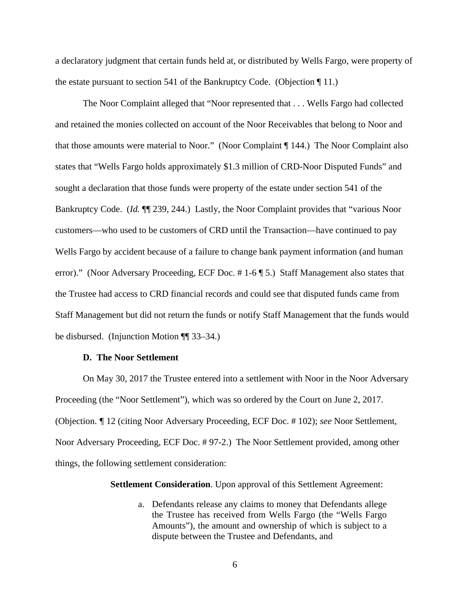a declaratory judgment that certain funds held at, or distributed by Wells Fargo, were property of the estate pursuant to section 541 of the Bankruptcy Code. (Objection ¶ 11.)

The Noor Complaint alleged that "Noor represented that . . . Wells Fargo had collected and retained the monies collected on account of the Noor Receivables that belong to Noor and that those amounts were material to Noor." (Noor Complaint ¶ 144.) The Noor Complaint also states that "Wells Fargo holds approximately \$1.3 million of CRD-Noor Disputed Funds" and sought a declaration that those funds were property of the estate under section 541 of the Bankruptcy Code. (*Id.* ¶¶ 239, 244.) Lastly, the Noor Complaint provides that "various Noor customers—who used to be customers of CRD until the Transaction—have continued to pay Wells Fargo by accident because of a failure to change bank payment information (and human error)." (Noor Adversary Proceeding, ECF Doc. # 1-6 ¶ 5.) Staff Management also states that the Trustee had access to CRD financial records and could see that disputed funds came from Staff Management but did not return the funds or notify Staff Management that the funds would be disbursed. (Injunction Motion ¶¶ 33–34.)

### **D. The Noor Settlement**

On May 30, 2017 the Trustee entered into a settlement with Noor in the Noor Adversary Proceeding (the "Noor Settlement"), which was so ordered by the Court on June 2, 2017. (Objection. *¶* 12 (citing Noor Adversary Proceeding, ECF Doc. # 102); *see* Noor Settlement, Noor Adversary Proceeding, ECF Doc. # 97-2.) The Noor Settlement provided, among other things, the following settlement consideration:

#### **Settlement Consideration**. Upon approval of this Settlement Agreement:

a. Defendants release any claims to money that Defendants allege the Trustee has received from Wells Fargo (the "Wells Fargo Amounts"), the amount and ownership of which is subject to a dispute between the Trustee and Defendants, and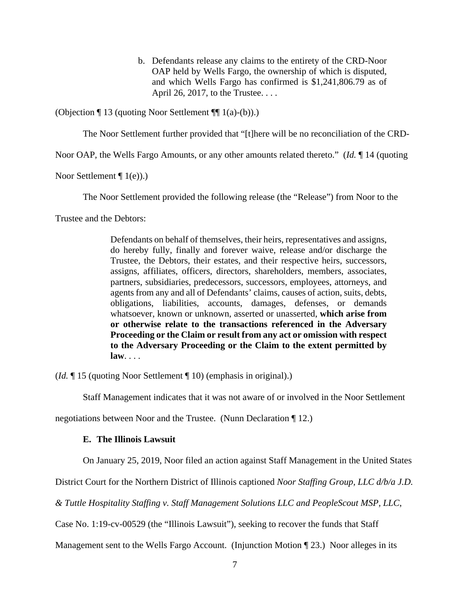b. Defendants release any claims to the entirety of the CRD-Noor OAP held by Wells Fargo, the ownership of which is disputed, and which Wells Fargo has confirmed is \$1,241,806.79 as of April 26, 2017, to the Trustee. . . .

(Objection ¶ 13 (quoting Noor Settlement ¶¶ 1(a)-(b)).)

The Noor Settlement further provided that "[t]here will be no reconciliation of the CRD-

Noor OAP, the Wells Fargo Amounts, or any other amounts related thereto." (*Id.* ¶ 14 (quoting

Noor Settlement  $\P$  1(e)).

The Noor Settlement provided the following release (the "Release") from Noor to the

Trustee and the Debtors:

Defendants on behalf of themselves, their heirs, representatives and assigns, do hereby fully, finally and forever waive, release and/or discharge the Trustee, the Debtors, their estates, and their respective heirs, successors, assigns, affiliates, officers, directors, shareholders, members, associates, partners, subsidiaries, predecessors, successors, employees, attorneys, and agents from any and all of Defendants' claims, causes of action, suits, debts, obligations, liabilities, accounts, damages, defenses, or demands whatsoever, known or unknown, asserted or unasserted, **which arise from or otherwise relate to the transactions referenced in the Adversary Proceeding or the Claim or result from any act or omission with respect to the Adversary Proceeding or the Claim to the extent permitted by law**. . . .

(*Id.* ¶ 15 (quoting Noor Settlement ¶ 10) (emphasis in original).)

Staff Management indicates that it was not aware of or involved in the Noor Settlement

negotiations between Noor and the Trustee. (Nunn Declaration ¶ 12.)

### **E. The Illinois Lawsuit**

On January 25, 2019, Noor filed an action against Staff Management in the United States

District Court for the Northern District of Illinois captioned *Noor Staffing Group, LLC d/b/a J.D.* 

*& Tuttle Hospitality Staffing v. Staff Management Solutions LLC and PeopleScout MSP, LLC*,

Case No. 1:19-cv-00529 (the "Illinois Lawsuit"), seeking to recover the funds that Staff

Management sent to the Wells Fargo Account. (Injunction Motion ¶ 23.) Noor alleges in its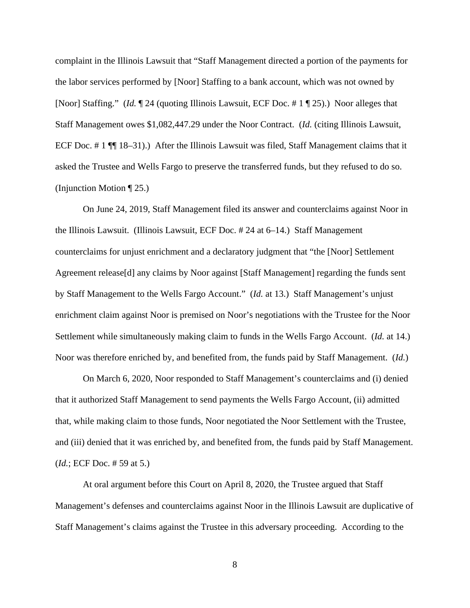complaint in the Illinois Lawsuit that "Staff Management directed a portion of the payments for the labor services performed by [Noor] Staffing to a bank account, which was not owned by [Noor] Staffing." (*Id.* ¶ 24 (quoting Illinois Lawsuit, ECF Doc. # 1 ¶ 25).) Noor alleges that Staff Management owes \$1,082,447.29 under the Noor Contract. (*Id.* (citing Illinois Lawsuit, ECF Doc. # 1 ¶¶ 18–31).) After the Illinois Lawsuit was filed, Staff Management claims that it asked the Trustee and Wells Fargo to preserve the transferred funds, but they refused to do so. (Injunction Motion ¶ 25.)

On June 24, 2019, Staff Management filed its answer and counterclaims against Noor in the Illinois Lawsuit. (Illinois Lawsuit, ECF Doc. # 24 at 6–14.) Staff Management counterclaims for unjust enrichment and a declaratory judgment that "the [Noor] Settlement Agreement release[d] any claims by Noor against [Staff Management] regarding the funds sent by Staff Management to the Wells Fargo Account." (*Id.* at 13.) Staff Management's unjust enrichment claim against Noor is premised on Noor's negotiations with the Trustee for the Noor Settlement while simultaneously making claim to funds in the Wells Fargo Account. (*Id.* at 14.) Noor was therefore enriched by, and benefited from, the funds paid by Staff Management. (*Id.*)

On March 6, 2020, Noor responded to Staff Management's counterclaims and (i) denied that it authorized Staff Management to send payments the Wells Fargo Account, (ii) admitted that, while making claim to those funds, Noor negotiated the Noor Settlement with the Trustee, and (iii) denied that it was enriched by, and benefited from, the funds paid by Staff Management. (*Id.*; ECF Doc. # 59 at 5.)

At oral argument before this Court on April 8, 2020, the Trustee argued that Staff Management's defenses and counterclaims against Noor in the Illinois Lawsuit are duplicative of Staff Management's claims against the Trustee in this adversary proceeding. According to the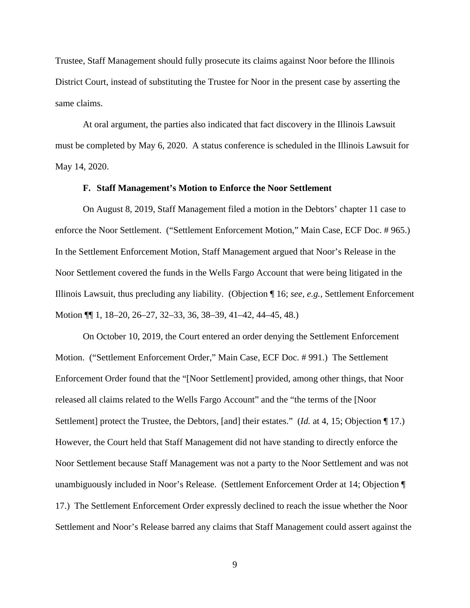Trustee, Staff Management should fully prosecute its claims against Noor before the Illinois District Court, instead of substituting the Trustee for Noor in the present case by asserting the same claims.

At oral argument, the parties also indicated that fact discovery in the Illinois Lawsuit must be completed by May 6, 2020. A status conference is scheduled in the Illinois Lawsuit for May 14, 2020.

### **F. Staff Management's Motion to Enforce the Noor Settlement**

On August 8, 2019, Staff Management filed a motion in the Debtors' chapter 11 case to enforce the Noor Settlement. ("Settlement Enforcement Motion," Main Case, ECF Doc. # 965.) In the Settlement Enforcement Motion, Staff Management argued that Noor's Release in the Noor Settlement covered the funds in the Wells Fargo Account that were being litigated in the Illinois Lawsuit, thus precluding any liability. (Objection ¶ 16; *see, e.g.*, Settlement Enforcement Motion ¶¶ 1, 18–20, 26–27, 32–33, 36, 38–39, 41–42, 44–45, 48.)

On October 10, 2019, the Court entered an order denying the Settlement Enforcement Motion. ("Settlement Enforcement Order," Main Case, ECF Doc. # 991.) The Settlement Enforcement Order found that the "[Noor Settlement] provided, among other things, that Noor released all claims related to the Wells Fargo Account" and the "the terms of the [Noor Settlement] protect the Trustee, the Debtors, [and] their estates." (*Id.* at 4, 15; Objection ¶ 17.) However, the Court held that Staff Management did not have standing to directly enforce the Noor Settlement because Staff Management was not a party to the Noor Settlement and was not unambiguously included in Noor's Release. (Settlement Enforcement Order at 14; Objection ¶ 17.) The Settlement Enforcement Order expressly declined to reach the issue whether the Noor Settlement and Noor's Release barred any claims that Staff Management could assert against the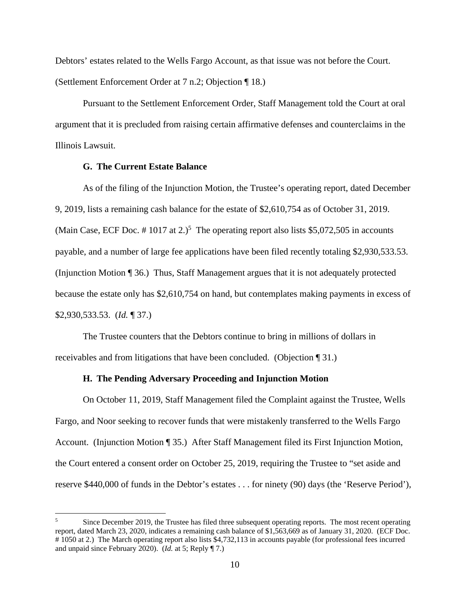Debtors' estates related to the Wells Fargo Account, as that issue was not before the Court. (Settlement Enforcement Order at 7 n.2; Objection ¶ 18.)

 Pursuant to the Settlement Enforcement Order, Staff Management told the Court at oral argument that it is precluded from raising certain affirmative defenses and counterclaims in the Illinois Lawsuit.

### **G. The Current Estate Balance**

As of the filing of the Injunction Motion, the Trustee's operating report, dated December 9, 2019, lists a remaining cash balance for the estate of \$2,610,754 as of October 31, 2019. (Main Case, ECF Doc.  $\# 1017$  at 2.)<sup>5</sup> The operating report also lists \$5,072,505 in accounts payable, and a number of large fee applications have been filed recently totaling \$2,930,533.53. (Injunction Motion ¶ 36.) Thus, Staff Management argues that it is not adequately protected because the estate only has \$2,610,754 on hand, but contemplates making payments in excess of \$2,930,533.53. (*Id.* ¶ 37.)

The Trustee counters that the Debtors continue to bring in millions of dollars in receivables and from litigations that have been concluded. (Objection ¶ 31.)

### **H. The Pending Adversary Proceeding and Injunction Motion**

On October 11, 2019, Staff Management filed the Complaint against the Trustee, Wells Fargo, and Noor seeking to recover funds that were mistakenly transferred to the Wells Fargo Account. (Injunction Motion ¶ 35.) After Staff Management filed its First Injunction Motion, the Court entered a consent order on October 25, 2019, requiring the Trustee to "set aside and reserve \$440,000 of funds in the Debtor's estates . . . for ninety (90) days (the 'Reserve Period'),

<sup>5</sup> Since December 2019, the Trustee has filed three subsequent operating reports. The most recent operating report, dated March 23, 2020, indicates a remaining cash balance of \$1,563,669 as of January 31, 2020. (ECF Doc. # 1050 at 2.) The March operating report also lists \$4,732,113 in accounts payable (for professional fees incurred and unpaid since February 2020). (*Id.* at 5; Reply ¶ 7.)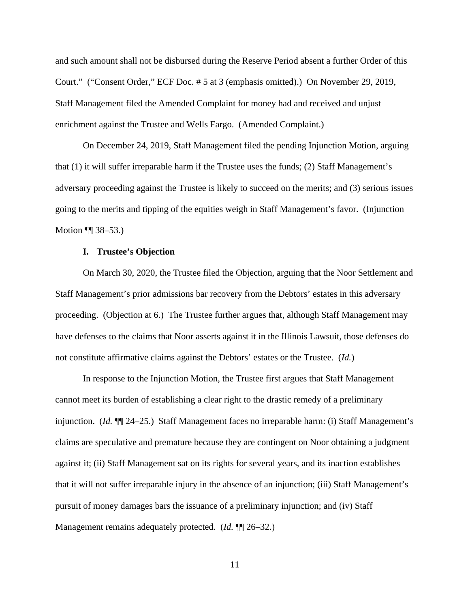and such amount shall not be disbursed during the Reserve Period absent a further Order of this Court." ("Consent Order," ECF Doc. # 5 at 3 (emphasis omitted).) On November 29, 2019, Staff Management filed the Amended Complaint for money had and received and unjust enrichment against the Trustee and Wells Fargo. (Amended Complaint.)

On December 24, 2019, Staff Management filed the pending Injunction Motion, arguing that (1) it will suffer irreparable harm if the Trustee uses the funds; (2) Staff Management's adversary proceeding against the Trustee is likely to succeed on the merits; and (3) serious issues going to the merits and tipping of the equities weigh in Staff Management's favor. (Injunction Motion ¶ 38–53.)

#### **I. Trustee's Objection**

On March 30, 2020, the Trustee filed the Objection, arguing that the Noor Settlement and Staff Management's prior admissions bar recovery from the Debtors' estates in this adversary proceeding. (Objection at 6.) The Trustee further argues that, although Staff Management may have defenses to the claims that Noor asserts against it in the Illinois Lawsuit, those defenses do not constitute affirmative claims against the Debtors' estates or the Trustee. (*Id.*)

In response to the Injunction Motion, the Trustee first argues that Staff Management cannot meet its burden of establishing a clear right to the drastic remedy of a preliminary injunction. (*Id.* ¶¶ 24–25.) Staff Management faces no irreparable harm: (i) Staff Management's claims are speculative and premature because they are contingent on Noor obtaining a judgment against it; (ii) Staff Management sat on its rights for several years, and its inaction establishes that it will not suffer irreparable injury in the absence of an injunction; (iii) Staff Management's pursuit of money damages bars the issuance of a preliminary injunction; and (iv) Staff Management remains adequately protected. (*Id.* ¶¶ 26–32.)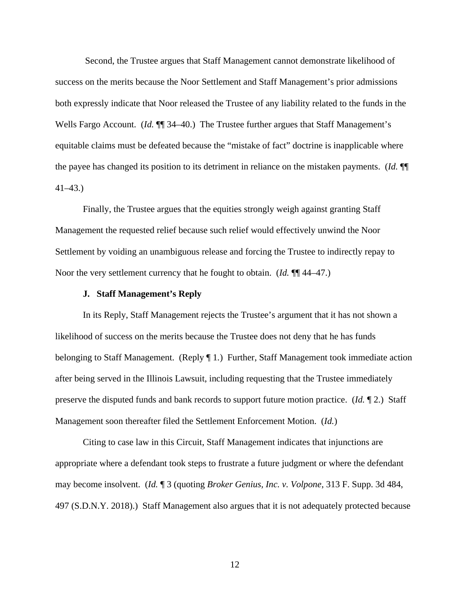Second, the Trustee argues that Staff Management cannot demonstrate likelihood of success on the merits because the Noor Settlement and Staff Management's prior admissions both expressly indicate that Noor released the Trustee of any liability related to the funds in the Wells Fargo Account. (*Id.*  $\P$ <sup> $\uparrow$ </sup> 34–40.) The Trustee further argues that Staff Management's equitable claims must be defeated because the "mistake of fact" doctrine is inapplicable where the payee has changed its position to its detriment in reliance on the mistaken payments. (*Id.* ¶¶ 41–43.)

 Finally, the Trustee argues that the equities strongly weigh against granting Staff Management the requested relief because such relief would effectively unwind the Noor Settlement by voiding an unambiguous release and forcing the Trustee to indirectly repay to Noor the very settlement currency that he fought to obtain. (*Id.* ¶¶ 44–47.)

### **J. Staff Management's Reply**

 In its Reply, Staff Management rejects the Trustee's argument that it has not shown a likelihood of success on the merits because the Trustee does not deny that he has funds belonging to Staff Management. (Reply ¶ 1*.*) Further, Staff Management took immediate action after being served in the Illinois Lawsuit, including requesting that the Trustee immediately preserve the disputed funds and bank records to support future motion practice. (*Id.* ¶ 2.) Staff Management soon thereafter filed the Settlement Enforcement Motion. (*Id.*)

 Citing to case law in this Circuit, Staff Management indicates that injunctions are appropriate where a defendant took steps to frustrate a future judgment or where the defendant may become insolvent. (*Id.* ¶ 3 (quoting *Broker Genius, Inc. v. Volpone*, 313 F. Supp. 3d 484, 497 (S.D.N.Y. 2018).) Staff Management also argues that it is not adequately protected because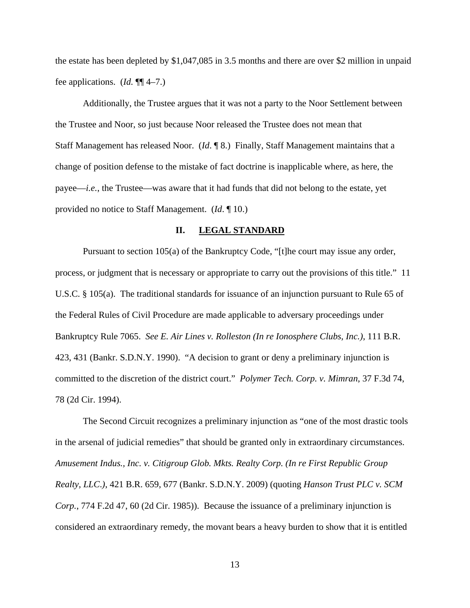the estate has been depleted by \$1,047,085 in 3.5 months and there are over \$2 million in unpaid fee applications. (*Id.* ¶¶ 4–7.)

 Additionally, the Trustee argues that it was not a party to the Noor Settlement between the Trustee and Noor, so just because Noor released the Trustee does not mean that Staff Management has released Noor. (*Id*. ¶ 8.) Finally, Staff Management maintains that a change of position defense to the mistake of fact doctrine is inapplicable where, as here, the payee—*i.e.*, the Trustee—was aware that it had funds that did not belong to the estate, yet provided no notice to Staff Management. (*Id*. ¶ 10.)

### **II. LEGAL STANDARD**

Pursuant to section 105(a) of the Bankruptcy Code, "[t]he court may issue any order, process, or judgment that is necessary or appropriate to carry out the provisions of this title." 11 U.S.C. § 105(a). The traditional standards for issuance of an injunction pursuant to Rule 65 of the Federal Rules of Civil Procedure are made applicable to adversary proceedings under Bankruptcy Rule 7065. *See E. Air Lines v. Rolleston (In re Ionosphere Clubs, Inc.)*, 111 B.R. 423, 431 (Bankr. S.D.N.Y. 1990). "A decision to grant or deny a preliminary injunction is committed to the discretion of the district court." *Polymer Tech. Corp. v. Mimran*, 37 F.3d 74, 78 (2d Cir. 1994).

The Second Circuit recognizes a preliminary injunction as "one of the most drastic tools in the arsenal of judicial remedies" that should be granted only in extraordinary circumstances. *Amusement Indus., Inc. v. Citigroup Glob. Mkts. Realty Corp. (In re First Republic Group Realty, LLC*.*)*, 421 B.R. 659, 677 (Bankr. S.D.N.Y. 2009) (quoting *Hanson Trust PLC v. SCM Corp.*, 774 F.2d 47, 60 (2d Cir. 1985)). Because the issuance of a preliminary injunction is considered an extraordinary remedy, the movant bears a heavy burden to show that it is entitled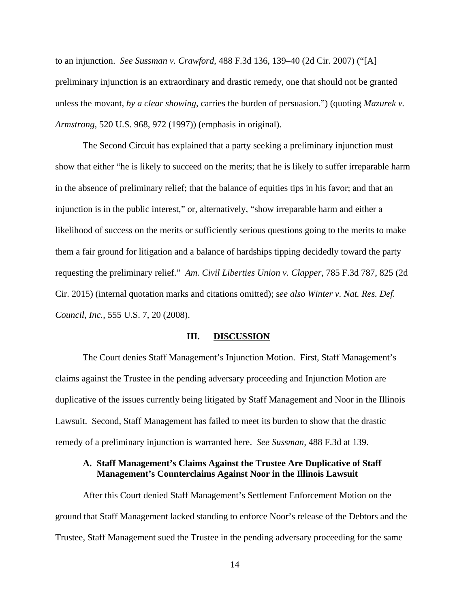to an injunction. *See Sussman v. Crawford*, 488 F.3d 136, 139–40 (2d Cir. 2007) ("[A] preliminary injunction is an extraordinary and drastic remedy, one that should not be granted unless the movant, *by a clear showing*, carries the burden of persuasion.") (quoting *Mazurek v. Armstrong*, 520 U.S. 968, 972 (1997)) (emphasis in original).

The Second Circuit has explained that a party seeking a preliminary injunction must show that either "he is likely to succeed on the merits; that he is likely to suffer irreparable harm in the absence of preliminary relief; that the balance of equities tips in his favor; and that an injunction is in the public interest," or, alternatively, "show irreparable harm and either a likelihood of success on the merits or sufficiently serious questions going to the merits to make them a fair ground for litigation and a balance of hardships tipping decidedly toward the party requesting the preliminary relief." *Am. Civil Liberties Union v. Clapper*, 785 F.3d 787, 825 (2d Cir. 2015) (internal quotation marks and citations omitted); s*ee also Winter v. Nat. Res. Def. Council, Inc.*, 555 U.S. 7, 20 (2008).

### **III. DISCUSSION**

 The Court denies Staff Management's Injunction Motion. First, Staff Management's claims against the Trustee in the pending adversary proceeding and Injunction Motion are duplicative of the issues currently being litigated by Staff Management and Noor in the Illinois Lawsuit. Second, Staff Management has failed to meet its burden to show that the drastic remedy of a preliminary injunction is warranted here. *See Sussman,* 488 F.3d at 139.

## **A. Staff Management's Claims Against the Trustee Are Duplicative of Staff Management's Counterclaims Against Noor in the Illinois Lawsuit**

After this Court denied Staff Management's Settlement Enforcement Motion on the ground that Staff Management lacked standing to enforce Noor's release of the Debtors and the Trustee, Staff Management sued the Trustee in the pending adversary proceeding for the same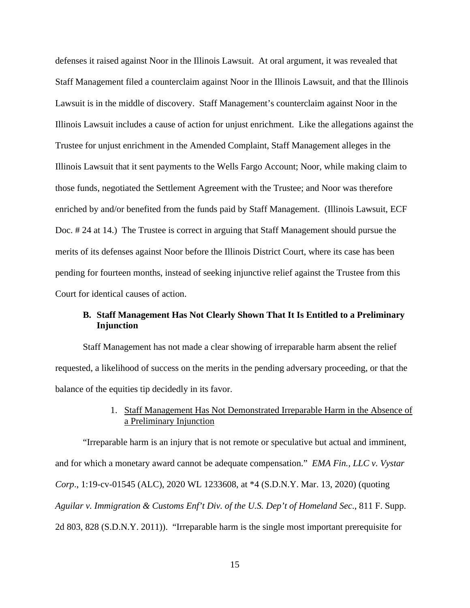defenses it raised against Noor in the Illinois Lawsuit. At oral argument, it was revealed that Staff Management filed a counterclaim against Noor in the Illinois Lawsuit, and that the Illinois Lawsuit is in the middle of discovery. Staff Management's counterclaim against Noor in the Illinois Lawsuit includes a cause of action for unjust enrichment. Like the allegations against the Trustee for unjust enrichment in the Amended Complaint, Staff Management alleges in the Illinois Lawsuit that it sent payments to the Wells Fargo Account; Noor, while making claim to those funds, negotiated the Settlement Agreement with the Trustee; and Noor was therefore enriched by and/or benefited from the funds paid by Staff Management. (Illinois Lawsuit, ECF Doc. # 24 at 14.) The Trustee is correct in arguing that Staff Management should pursue the merits of its defenses against Noor before the Illinois District Court, where its case has been pending for fourteen months, instead of seeking injunctive relief against the Trustee from this Court for identical causes of action.

## **B. Staff Management Has Not Clearly Shown That It Is Entitled to a Preliminary Injunction**

Staff Management has not made a clear showing of irreparable harm absent the relief requested, a likelihood of success on the merits in the pending adversary proceeding, or that the balance of the equities tip decidedly in its favor.

## 1. Staff Management Has Not Demonstrated Irreparable Harm in the Absence of a Preliminary Injunction

"Irreparable harm is an injury that is not remote or speculative but actual and imminent, and for which a monetary award cannot be adequate compensation." *EMA Fin., LLC v. Vystar Corp*., 1:19-cv-01545 (ALC), 2020 WL 1233608, at \*4 (S.D.N.Y. Mar. 13, 2020) (quoting *Aguilar v. Immigration & Customs Enf't Div. of the U.S. Dep't of Homeland Sec*., 811 F. Supp. 2d 803, 828 (S.D.N.Y. 2011)). "Irreparable harm is the single most important prerequisite for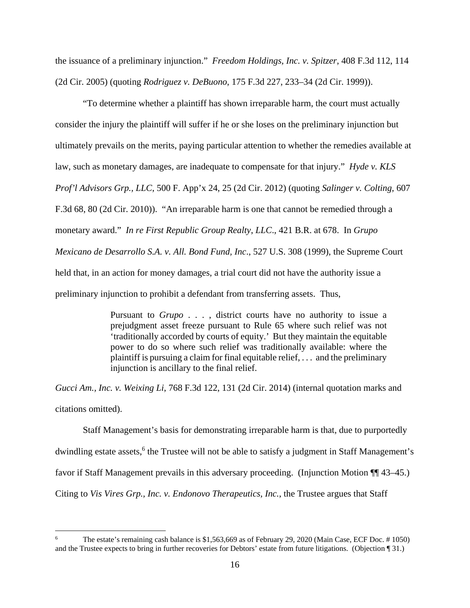the issuance of a preliminary injunction." *Freedom Holdings, Inc. v. Spitzer*, 408 F.3d 112, 114 (2d Cir. 2005) (quoting *Rodriguez v. DeBuono*, 175 F.3d 227, 233–34 (2d Cir. 1999)).

"To determine whether a plaintiff has shown irreparable harm, the court must actually consider the injury the plaintiff will suffer if he or she loses on the preliminary injunction but ultimately prevails on the merits, paying particular attention to whether the remedies available at law, such as monetary damages, are inadequate to compensate for that injury." *Hyde v. KLS Prof'l Advisors Grp., LLC*, 500 F. App'x 24, 25 (2d Cir. 2012) (quoting *Salinger v. Colting*, 607 F.3d 68, 80 (2d Cir. 2010)). "An irreparable harm is one that cannot be remedied through a monetary award." *In re First Republic Group Realty*, *LLC*., 421 B.R. at 678. In *Grupo Mexicano de Desarrollo S.A. v. All. Bond Fund, Inc*., 527 U.S. 308 (1999), the Supreme Court held that, in an action for money damages, a trial court did not have the authority issue a preliminary injunction to prohibit a defendant from transferring assets. Thus,

> Pursuant to *Grupo* . . . , district courts have no authority to issue a prejudgment asset freeze pursuant to Rule 65 where such relief was not 'traditionally accorded by courts of equity.' But they maintain the equitable power to do so where such relief was traditionally available: where the plaintiff is pursuing a claim for final equitable relief, . . . and the preliminary injunction is ancillary to the final relief.

*Gucci Am., Inc. v. Weixing Li*, 768 F.3d 122, 131 (2d Cir. 2014) (internal quotation marks and citations omitted).

Staff Management's basis for demonstrating irreparable harm is that, due to purportedly dwindling estate assets,<sup>6</sup> the Trustee will not be able to satisfy a judgment in Staff Management's favor if Staff Management prevails in this adversary proceeding. (Injunction Motion ¶¶ 43–45.) Citing to *Vis Vires Grp., Inc. v. Endonovo Therapeutics, Inc.*, the Trustee argues that Staff

<sup>6</sup> The estate's remaining cash balance is \$1,563,669 as of February 29, 2020 (Main Case, ECF Doc. # 1050) and the Trustee expects to bring in further recoveries for Debtors' estate from future litigations. (Objection ¶ 31.)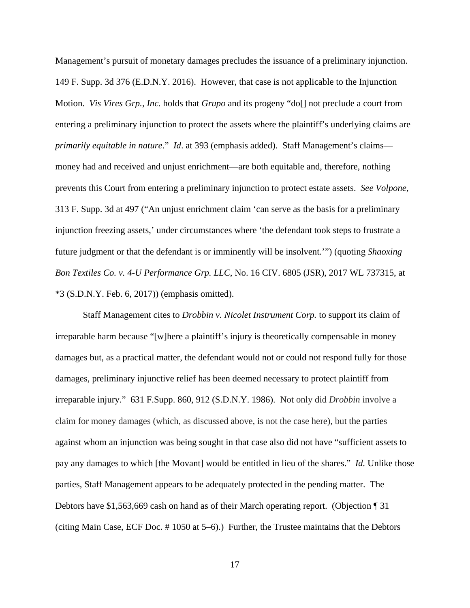Management's pursuit of monetary damages precludes the issuance of a preliminary injunction. 149 F. Supp. 3d 376 (E.D.N.Y. 2016). However, that case is not applicable to the Injunction Motion. *Vis Vires Grp., Inc.* holds that *Grupo* and its progeny "do[] not preclude a court from entering a preliminary injunction to protect the assets where the plaintiff's underlying claims are *primarily equitable in nature*." *Id*. at 393 (emphasis added). Staff Management's claims money had and received and unjust enrichment—are both equitable and, therefore, nothing prevents this Court from entering a preliminary injunction to protect estate assets. *See Volpone,*  313 F. Supp. 3d at 497 ("An unjust enrichment claim 'can serve as the basis for a preliminary injunction freezing assets,' under circumstances where 'the defendant took steps to frustrate a future judgment or that the defendant is or imminently will be insolvent.'") (quoting *Shaoxing Bon Textiles Co. v. 4-U Performance Grp. LLC*, No. 16 CIV. 6805 (JSR), 2017 WL 737315, at \*3 (S.D.N.Y. Feb. 6, 2017)) (emphasis omitted).

Staff Management cites to *Drobbin v. Nicolet Instrument Corp.* to support its claim of irreparable harm because "[w]here a plaintiff's injury is theoretically compensable in money damages but, as a practical matter, the defendant would not or could not respond fully for those damages, preliminary injunctive relief has been deemed necessary to protect plaintiff from irreparable injury." 631 F.Supp. 860, 912 (S.D.N.Y. 1986). Not only did *Drobbin* involve a claim for money damages (which, as discussed above, is not the case here), but the parties against whom an injunction was being sought in that case also did not have "sufficient assets to pay any damages to which [the Movant] would be entitled in lieu of the shares." *Id.* Unlike those parties, Staff Management appears to be adequately protected in the pending matter. The Debtors have \$1,563,669 cash on hand as of their March operating report. (Objection ¶ 31 (citing Main Case, ECF Doc. # 1050 at 5–6).) Further, the Trustee maintains that the Debtors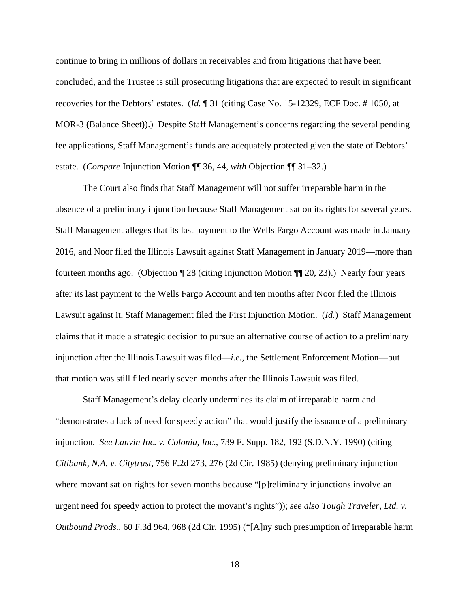continue to bring in millions of dollars in receivables and from litigations that have been concluded, and the Trustee is still prosecuting litigations that are expected to result in significant recoveries for the Debtors' estates. (*Id.* ¶ 31 (citing Case No. 15-12329, ECF Doc. # 1050, at MOR-3 (Balance Sheet)).) Despite Staff Management's concerns regarding the several pending fee applications, Staff Management's funds are adequately protected given the state of Debtors' estate. (*Compare* Injunction Motion ¶¶ 36, 44, *with* Objection ¶¶ 31–32.)

The Court also finds that Staff Management will not suffer irreparable harm in the absence of a preliminary injunction because Staff Management sat on its rights for several years. Staff Management alleges that its last payment to the Wells Fargo Account was made in January 2016, and Noor filed the Illinois Lawsuit against Staff Management in January 2019—more than fourteen months ago. (Objection *¶* 28 (citing Injunction Motion ¶¶ 20, 23).) Nearly four years after its last payment to the Wells Fargo Account and ten months after Noor filed the Illinois Lawsuit against it, Staff Management filed the First Injunction Motion. (*Id.*) Staff Management claims that it made a strategic decision to pursue an alternative course of action to a preliminary injunction after the Illinois Lawsuit was filed—*i.e.*, the Settlement Enforcement Motion—but that motion was still filed nearly seven months after the Illinois Lawsuit was filed.

Staff Management's delay clearly undermines its claim of irreparable harm and "demonstrates a lack of need for speedy action" that would justify the issuance of a preliminary injunction. *See Lanvin Inc. v. Colonia*, *Inc*., 739 F. Supp. 182, 192 (S.D.N.Y. 1990) (citing *Citibank, N.A. v. Citytrust*, 756 F.2d 273, 276 (2d Cir. 1985) (denying preliminary injunction where movant sat on rights for seven months because "[p]reliminary injunctions involve an urgent need for speedy action to protect the movant's rights")); *see also Tough Traveler, Ltd. v. Outbound Prods.*, 60 F.3d 964, 968 (2d Cir. 1995) ("[A]ny such presumption of irreparable harm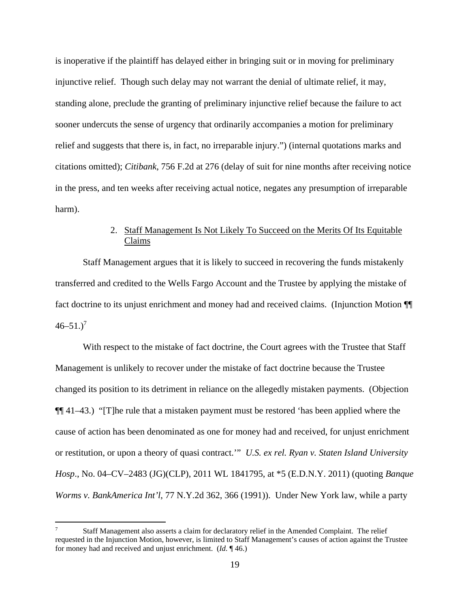is inoperative if the plaintiff has delayed either in bringing suit or in moving for preliminary injunctive relief. Though such delay may not warrant the denial of ultimate relief, it may, standing alone, preclude the granting of preliminary injunctive relief because the failure to act sooner undercuts the sense of urgency that ordinarily accompanies a motion for preliminary relief and suggests that there is, in fact, no irreparable injury.") (internal quotations marks and citations omitted); *Citibank*, 756 F.2d at 276 (delay of suit for nine months after receiving notice in the press, and ten weeks after receiving actual notice, negates any presumption of irreparable harm).

# 2. Staff Management Is Not Likely To Succeed on the Merits Of Its Equitable Claims

Staff Management argues that it is likely to succeed in recovering the funds mistakenly transferred and credited to the Wells Fargo Account and the Trustee by applying the mistake of fact doctrine to its unjust enrichment and money had and received claims. (Injunction Motion ¶¶  $46 - 51.$ )<sup>7</sup>

With respect to the mistake of fact doctrine, the Court agrees with the Trustee that Staff Management is unlikely to recover under the mistake of fact doctrine because the Trustee changed its position to its detriment in reliance on the allegedly mistaken payments. (Objection ¶¶ 41–43.) "[T]he rule that a mistaken payment must be restored 'has been applied where the cause of action has been denominated as one for money had and received, for unjust enrichment or restitution, or upon a theory of quasi contract.'" *U.S. ex rel. Ryan v. Staten Island University Hosp*., No. 04–CV–2483 (JG)(CLP), 2011 WL 1841795, at \*5 (E.D.N.Y. 2011) (quoting *Banque Worms v. BankAmerica Int'l*, 77 N.Y.2d 362, 366 (1991)). Under New York law, while a party

<sup>7</sup> Staff Management also asserts a claim for declaratory relief in the Amended Complaint. The relief requested in the Injunction Motion, however, is limited to Staff Management's causes of action against the Trustee for money had and received and unjust enrichment. (*Id.* ¶ 46.)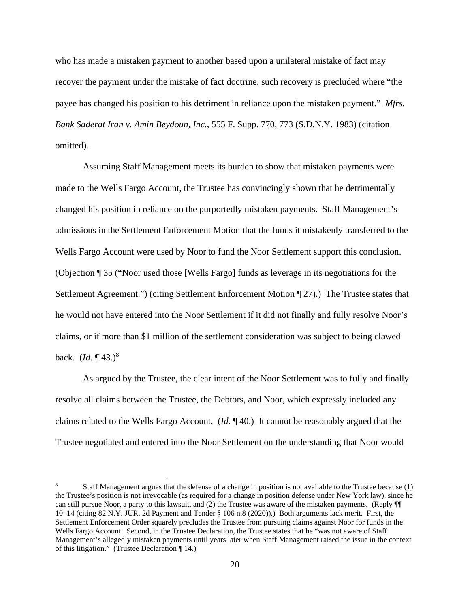who has made a mistaken payment to another based upon a unilateral mistake of fact may recover the payment under the mistake of fact doctrine, such recovery is precluded where "the payee has changed his position to his detriment in reliance upon the mistaken payment." *Mfrs. Bank Saderat Iran v. Amin Beydoun, Inc.*, 555 F. Supp. 770, 773 (S.D.N.Y. 1983) (citation omitted).

Assuming Staff Management meets its burden to show that mistaken payments were made to the Wells Fargo Account, the Trustee has convincingly shown that he detrimentally changed his position in reliance on the purportedly mistaken payments. Staff Management's admissions in the Settlement Enforcement Motion that the funds it mistakenly transferred to the Wells Fargo Account were used by Noor to fund the Noor Settlement support this conclusion. (Objection ¶ 35 ("Noor used those [Wells Fargo] funds as leverage in its negotiations for the Settlement Agreement.") (citing Settlement Enforcement Motion ¶ 27).) The Trustee states that he would not have entered into the Noor Settlement if it did not finally and fully resolve Noor's claims, or if more than \$1 million of the settlement consideration was subject to being clawed back. (*Id.* ¶ 43.)<sup>8</sup>

As argued by the Trustee, the clear intent of the Noor Settlement was to fully and finally resolve all claims between the Trustee, the Debtors, and Noor, which expressly included any claims related to the Wells Fargo Account. (*Id.* ¶ 40.) It cannot be reasonably argued that the Trustee negotiated and entered into the Noor Settlement on the understanding that Noor would

<sup>8</sup> Staff Management argues that the defense of a change in position is not available to the Trustee because (1) the Trustee's position is not irrevocable (as required for a change in position defense under New York law), since he can still pursue Noor, a party to this lawsuit, and (2) the Trustee was aware of the mistaken payments. (Reply ¶¶ 10–14 (citing 82 N.Y. JUR. 2d Payment and Tender § 106 n.8 (2020)).) Both arguments lack merit. First, the Settlement Enforcement Order squarely precludes the Trustee from pursuing claims against Noor for funds in the Wells Fargo Account. Second, in the Trustee Declaration, the Trustee states that he "was not aware of Staff Management's allegedly mistaken payments until years later when Staff Management raised the issue in the context of this litigation." (Trustee Declaration ¶ 14.)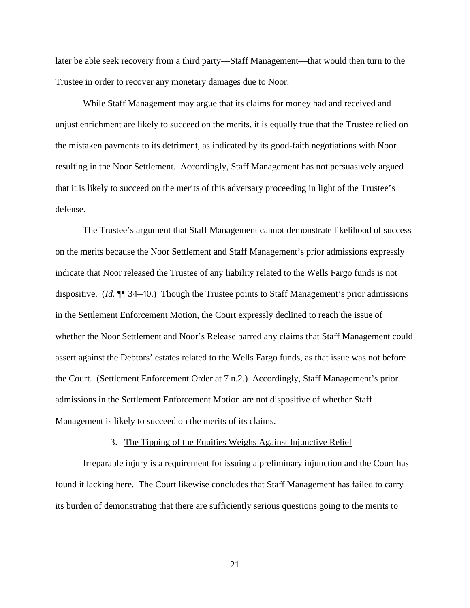later be able seek recovery from a third party—Staff Management—that would then turn to the Trustee in order to recover any monetary damages due to Noor.

While Staff Management may argue that its claims for money had and received and unjust enrichment are likely to succeed on the merits, it is equally true that the Trustee relied on the mistaken payments to its detriment, as indicated by its good-faith negotiations with Noor resulting in the Noor Settlement. Accordingly, Staff Management has not persuasively argued that it is likely to succeed on the merits of this adversary proceeding in light of the Trustee's defense.

The Trustee's argument that Staff Management cannot demonstrate likelihood of success on the merits because the Noor Settlement and Staff Management's prior admissions expressly indicate that Noor released the Trustee of any liability related to the Wells Fargo funds is not dispositive. (*Id.* ¶¶ 34–40.) Though the Trustee points to Staff Management's prior admissions in the Settlement Enforcement Motion, the Court expressly declined to reach the issue of whether the Noor Settlement and Noor's Release barred any claims that Staff Management could assert against the Debtors' estates related to the Wells Fargo funds, as that issue was not before the Court. (Settlement Enforcement Order at 7 n.2.) Accordingly, Staff Management's prior admissions in the Settlement Enforcement Motion are not dispositive of whether Staff Management is likely to succeed on the merits of its claims.

#### 3. The Tipping of the Equities Weighs Against Injunctive Relief

Irreparable injury is a requirement for issuing a preliminary injunction and the Court has found it lacking here. The Court likewise concludes that Staff Management has failed to carry its burden of demonstrating that there are sufficiently serious questions going to the merits to